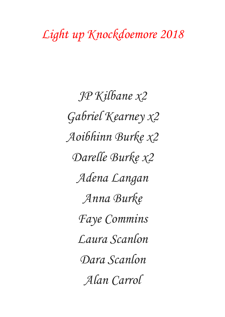## *Light up Knockdoemore 2018*

*JP Kilbane x2 Gabriel Kearney x2 Aoibhinn Burke x2 Darelle Burke x2 Adena Langan Anna Burke Faye Commins Laura Scanlon Dara Scanlon Alan Carrol*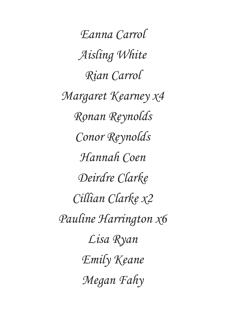*Eanna Carrol Aisling White Rian Carrol Margaret Kearney x4 Ronan Reynolds Conor Reynolds Hannah Coen Deirdre Clarke Cillian Clarke x2 Pauline Harrington x6 Lisa Ryan Emily Keane Megan Fahy*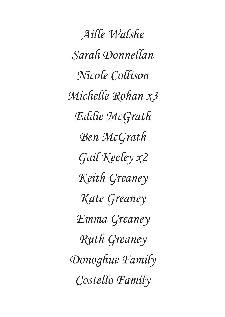*Aille Walshe Sarah Donnellan Nicole Collison Michelle Rohan x3 Eddie McGrath Ben McGrath Gail Keeley x2 Keith Greaney Kate Greaney Emma Greaney Ruth Greaney Donoghue Family Costello Family*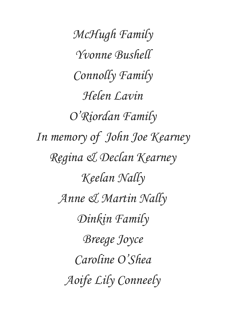*McHugh Family Yvonne Bushell Connolly Family Helen Lavin O'Riordan Family In memory of John Joe Kearney Regina & Declan Kearney Keelan Nally Anne & Martin Nally Dinkin Family Breege Joyce Caroline O'Shea Aoife Lily Conneely*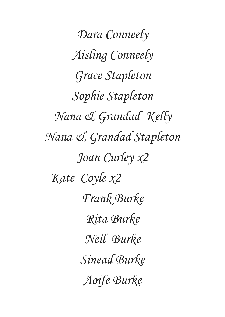*Dara Conneely Aisling Conneely Grace Stapleton Sophie Stapleton Nana & Grandad Kelly Nana & Grandad Stapleton Joan Curley x2 Kate Coyle x2 Frank Burke Rita Burke Neil Burke Sinead Burke Aoife Burke*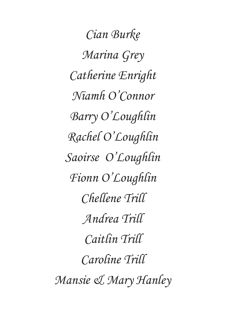*Cian Burke Marina Grey Catherine Enright Niamh O'Connor Barry O'Loughlin Rachel O'Loughlin Saoirse O'Loughlin Fionn O'Loughlin Chellene Trill Andrea Trill Caitlin Trill Caroline Trill Mansie & Mary Hanley*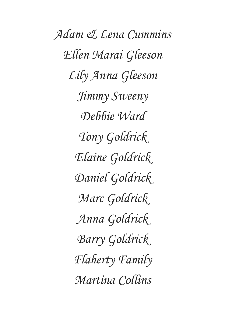*Adam & Lena Cummins Ellen Marai Gleeson Lily Anna Gleeson Jimmy Sweeny Debbie Ward Tony Goldrick Elaine Goldrick Daniel Goldrick Marc Goldrick Anna Goldrick Barry Goldrick Flaherty Family Martina Collins*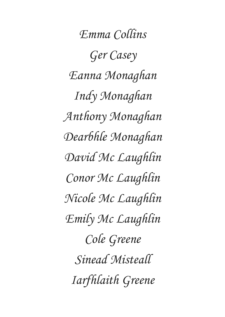*Emma Collins Ger Casey Eanna Monaghan Indy Monaghan Anthony Monaghan Dearbhle Monaghan David Mc Laughlin Conor Mc Laughlin Nicole Mc Laughlin Emily Mc Laughlin Cole Greene Sinead Misteall Iarfhlaith Greene*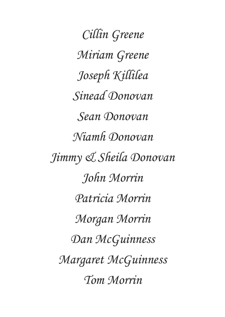*Cillin Greene Miriam Greene Joseph Killilea Sinead Donovan Sean Donovan Niamh Donovan Jimmy & Sheila Donovan John Morrin Patricia Morrin Morgan Morrin Dan McGuinness Margaret McGuinness Tom Morrin*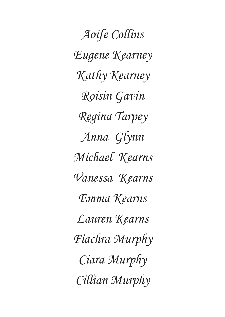*Aoife Collins Eugene Kearney Kathy Kearney Roisin Gavin Regina Tarpey Anna Glynn Michael Kearns Vanessa Kearns Emma Kearns Lauren Kearns Fiachra Murphy Ciara Murphy Cillian Murphy*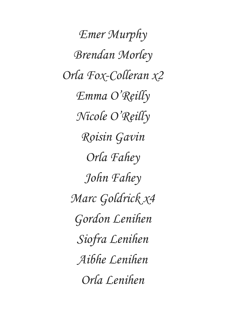*Emer Murphy Brendan Morley Orla Fox-Colleran x2 Emma O'Reilly Nicole O'Reilly Roisin Gavin Orla Fahey John Fahey Marc Goldrick x4 Gordon Lenihen Siofra Lenihen Aibhe Lenihen Orla Lenihen*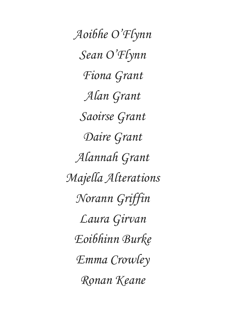*Aoibhe O'Flynn Sean O'Flynn Fiona Grant Alan Grant Saoirse Grant Daire Grant Alannah Grant Majella Alterations Norann Griffin Laura Girvan Eoibhinn Burke Emma Crowley Ronan Keane*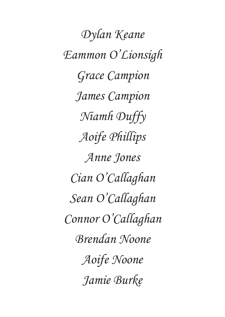*Dylan Keane Eammon O'Lionsigh Grace Campion James Campion Niamh Duffy Aoife Phillips Anne Jones Cian O'Callaghan Sean O'Callaghan Connor O'Callaghan Brendan Noone Aoife Noone Jamie Burke*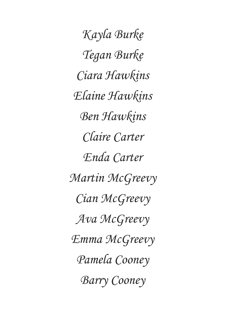*Kayla Burke Tegan Burke Ciara Hawkins Elaine Hawkins Ben Hawkins Claire Carter Enda Carter Martin McGreevy Cian McGreevy Ava McGreevy Emma McGreevy Pamela Cooney Barry Cooney*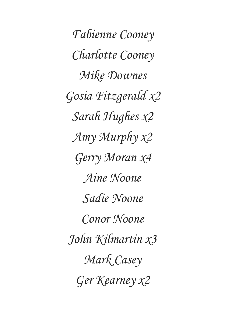*Fabienne Cooney Charlotte Cooney Mike Downes Gosia Fitzgerald x2 Sarah Hughes x2 Amy Murphy x2 Gerry Moran x4 Aine Noone Sadie Noone Conor Noone John Kilmartin x3 Mark Casey Ger Kearney x2*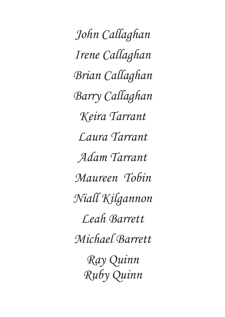*John Callaghan Irene Callaghan Brian Callaghan Barry Callaghan Keira Tarrant Laura Tarrant Adam Tarrant Maureen Tobin Niall Kilgannon Leah Barrett Michael Barrett Ray Quinn Ruby Quinn*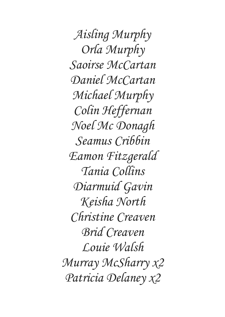*Aisling Murphy Orla Murphy Saoirse McCartan Daniel McCartan Michael Murphy Colin Heffernan Noel Mc Donagh Seamus Cribbin Eamon Fitzgerald Tania Collins Diarmuid Gavin Keisha North Christine Creaven Brid Creaven Louie Walsh Murray McSharry x2 Patricia Delaney x2*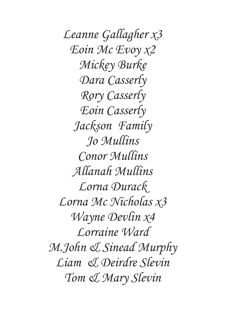*Leanne Gallagher x3 Eoin Mc Evoy x2 Mickey Burke Dara Casserly Rory Casserly Eoin Casserly Jackson Family Jo Mullins Conor Mullins Allanah Mullins Lorna Durack Lorna Mc Nicholas x3 Wayne Devlin x4 Lorraine Ward M.John & Sinead Murphy Liam & Deirdre Slevin Tom & Mary Slevin*